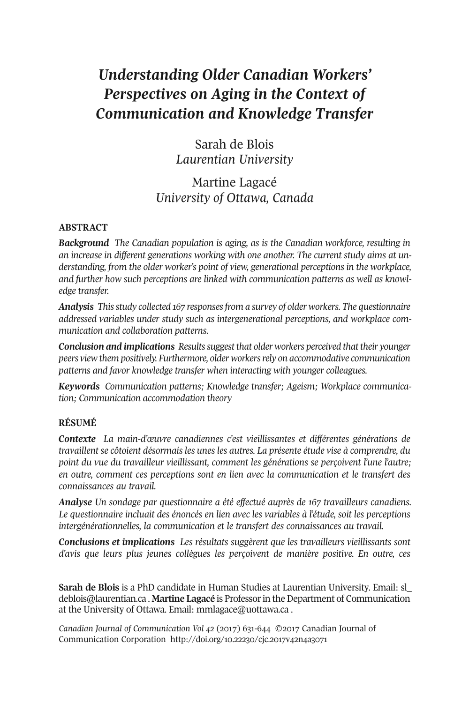# *Understanding Older Canadian Workers' Perspectives on Aging in the Context of Communication and Knowledge Transfer*

Sarah de Blois *Laurentian University*

Martine Lagacé *University of Ottawa, Canada*

## **ABSTRACT**

*Background The Canadian population is aging, as is the Canadian workforce, resulting in an increase in different generations working with one another. The current study aims at understanding, from the older worker's point of view, generational perceptions in the workplace, and further how such perceptions are linked with communication patterns as well as knowledge transfer.*

*Analysis Thisstudy collected 167 responsesfrom a survey of older workers. The questionnaire addressed variables under study such as intergenerational perceptions, and workplace communication and collaboration patterns.*

*Conclusion and implications Resultssuggest that older workers perceived that their younger peers view them positively. Furthermore, older workersrely on accommodative communication patterns and favor knowledge transfer when interacting with younger colleagues.*

*Keywords Communication patterns; Knowledge transfer; Ageism; Workplace communication; Communication accommodation theory*

## **RÉSUMÉ**

*Contexte La main-d'œuvre canadiennes c'est vieillissantes et différentes générations de travaillent se côtoient désormais les unes les autres. La présente étude vise à comprendre, du point du vue du travailleur vieillissant, comment les générations se perçoivent l'une l'autre; en outre, comment ces perceptions sont en lien avec la communication et le transfert des connaissances au travail.*

*Analyse Un sondage par questionnaire a été effectué auprès de 167 travailleurs canadiens. Le questionnaire incluait des énoncés en lien avec les variables à l'étude, soit les perceptions intergénérationnelles, la communication et le transfert des connaissances au travail.*

*Conclusions et implications Les résultats suggèrent que les travailleurs vieillissants sont d'avis que leurs plus jeunes collègues les perçoivent de manière positive. En outre, ces*

**Sarah de Blois** is a PhD candidate in Human Studies at Laurentian University. Email: [sl\\_](mailto:sl_deblois@laurentian.ca) [deblois@laurentian.ca](mailto:sl_deblois@laurentian.ca) . **Martine Lagacé** is Professorin theDepartment of Communication at the University of Ottawa. Email: [mmlagace@uottawa.ca](mailto:mmlagace@uottawa.ca) .

*Canadian Journal of [Communication](http://www.cjc-online.ca) Vol 42* (2017) 631-644 ©2017 Canadian Journal of Communication Corporation <http://doi.org/10.22230/cjc.2017v42n4a3071>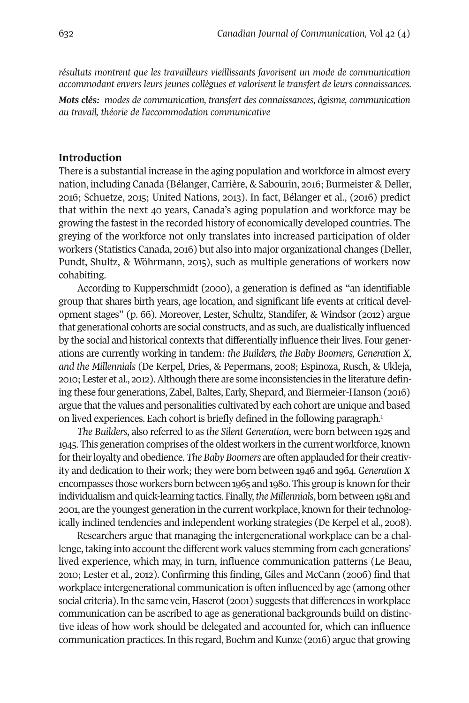*résultats montrent que les travailleurs vieillissants favorisent un mode de communication accommodant envers leurs jeunes collègues et valorisent le transfert de leurs connaissances.*

*Mots clés: modes de communication, transfert des connaissances, âgisme, communication au travail, théorie de l'accommodation communicative*

## **Introduction**

There is a substantial increase in the aging population and workforce in almost every nation, including Canada (Bélanger, Carrière, & Sabourin, 2016; Burmeister & Deller, 2016; Schuetze, 2015; United Nations, 2013). In fact, Bélanger et al., (2016) predict that within the next 40 years, Canada's aging population and workforce may be growing the fastest in the recorded history of economically developed countries. The greying of the workforce not only translates into increased participation of older workers (Statistics Canada, 2016) but also into major organizational changes (Deller, Pundt, Shultz, & Wöhrmann, 2015), such as multiple generations of workers now cohabiting.

According to Kupperschmidt (2000), a generation is defined as "an identifiable group that shares birth years, age location, and significant life events at critical development stages" (p. 66). Moreover, Lester, Schultz, Standifer, & Windsor (2012) argue that generational cohorts are social constructs, and as such, are dualistically influenced by the social and historical contexts that differentially influence their lives. Four generations are currently working in tandem: *the Builders, the Baby Boomers, Generation X, and the Millennials* (De Kerpel, Dries, & Pepermans, 2008; Espinoza, Rusch, & Ukleja, 2010; Lester et al., 2012).Although there are some inconsistencies in the literature defining these four generations, Zabel, Baltes, Early, Shepard, and Biermeier-Hanson (2016) argue that the values a[nd](#page-10-0) personalities cultivated by each cohort are unique and based on lived experiences. Each cohort is briefly defined in the following paragraph. 1

*The Builders*, also referred to as *the Silent Generation*, were born between 1925 and 1945. This generation comprises of the oldest workers in the current workforce, known fortheirloyalty and obedience. *The Baby Boomers* are often applauded fortheir creativity and dedication to their work; they were born between 1946 and 1964. *Generation X* encompasses those workers born between 1965 and 1980. This group is known fortheir individualism and quick-learning tactics. Finally,*the Millennials*, born between 1981 and 2001, are the youngest generation in the current workplace, known for their technologically inclined tendencies and independent working strategies (De Kerpel et al., 2008).

Researchers argue that managing the intergenerational workplace can be a challenge, taking into account the different work values stemming from each generations' lived experience, which may, in turn, influence communication patterns (Le Beau, 2010; Lester et al., 2012). Confirming this finding, Giles and McCann (2006) find that workplace intergenerational communication is often influenced by age (among other social criteria). In the same vein, Haserot (2001) suggests that differences in workplace communication can be ascribed to age as generational backgrounds build on distinctive ideas of how work should be delegated and accounted for, which can influence communication practices. In this regard, Boehm and Kunze (2016) argue that growing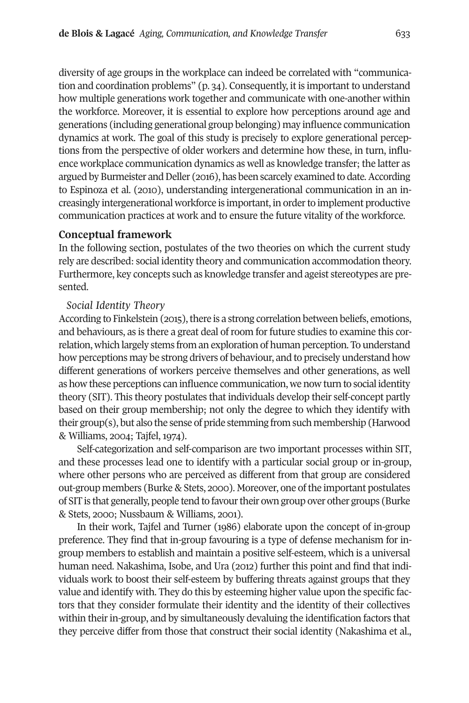diversity of age groups in the workplace can indeed be correlated with "communication and coordination problems" (p. 34). Consequently, it is important to understand how multiple generations work together and communicate with one-another within the workforce. Moreover, it is essential to explore how perceptions around age and generations (including generational group belonging) may influence communication dynamics at work. The goal of this study is precisely to explore generational perceptions from the perspective of older workers and determine how these, in turn, influence workplace communication dynamics as well as knowledge transfer; the latter as argued by Burmeister and Deller (2016), has been scarcely examined to date. According to Espinoza et al. (2010), understanding intergenerational communication in an increasingly intergenerational workforce is important, in order to implement productive communication practices at work and to ensure the future vitality of the workforce.

## **Conceptual framework**

In the following section, postulates of the two theories on which the current study rely are described: social identity theory and communication accommodation theory. Furthermore, key concepts such as knowledge transfer and ageist stereotypes are presented.

### *Social Identity Theory*

According to Finkelstein (2015), there is a strong correlation between beliefs, emotions, and behaviours, as is there a great deal of room for future studies to examine this correlation, which largely stems from an exploration of human perception. To understand how perceptions may be strong drivers of behaviour, and to precisely understand how different generations of workers perceive themselves and other generations, as well as how these perceptions can influence communication, we now turn to social identity theory (SIT). This theory postulates that individuals develop their self-concept partly based on their group membership; not only the degree to which they identify with their group(s), but also the sense of pride stemming from such membership (Harwood & Williams, 2004; Tajfel, 1974).

Self-categorization and self-comparison are two important processes within SIT, and these processes lead one to identify with a particular social group or in-group, where other persons who are perceived as different from that group are considered out-group members (Burke & Stets, 2000). Moreover, one ofthe important postulates of SIT is that generally, people tend to favourtheir own group over other groups (Burke & Stets, 2000; Nussbaum & Williams, 2001).

In their work, Tajfel and Turner (1986) elaborate upon the concept of in-group preference. They find that in-group favouring is a type of defense mechanism for ingroup members to establish and maintain a positive self-esteem, which is a universal human need. Nakashima, Isobe, and Ura (2012) further this point and find that individuals work to boost their self-esteem by buffering threats against groups that they value and identify with. They do this by esteeming higher value upon the specific factors that they consider formulate their identity and the identity of their collectives within theirin-group, and by simultaneously devaluing the identification factors that they perceive differ from those that construct their social identity (Nakashima et al.,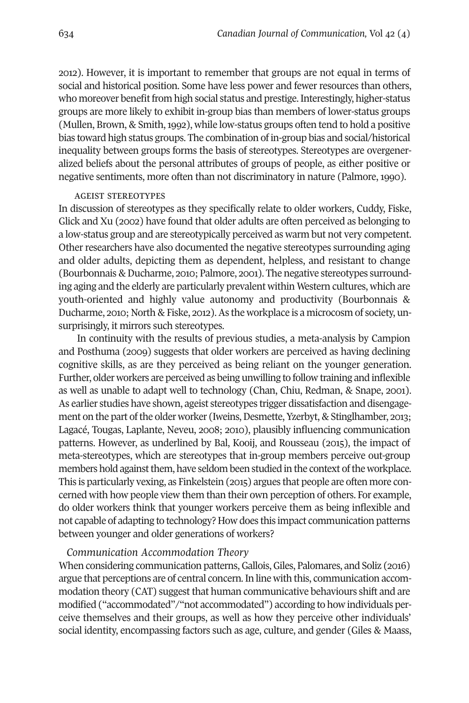2012). However, it is important to remember that groups are not equal in terms of social and historical position. Some have less power and fewer resources than others, who moreover benefit from high social status and prestige. Interestingly, higher-status groups are more likely to exhibit in-group bias than members of lower-status groups (Mullen, Brown, & Smith,1992), while low-status groups often tend to hold a positive bias toward high status groups. The combination of in-group bias and social/historical inequality between groups forms the basis of stereotypes. Stereotypes are overgeneralized beliefs about the personal attributes of groups of people, as either positive or negative sentiments, more often than not discriminatory in nature (Palmore, 1990).

### Ageist stereotypes

In discussion of stereotypes as they specifically relate to older workers, Cuddy, Fiske, Glick and Xu (2002) have found that older adults are often perceived as belonging to a low-status group and are stereotypically perceived as warm but not very competent. Other researchers have also documented the negative stereotypes surrounding aging and older adults, depicting them as dependent, helpless, and resistant to change (Bourbonnais & Ducharme, 2010; Palmore, 2001). The negative stereotypes surrounding aging and the elderly are particularly prevalent within Western cultures, which are youth-oriented and highly value autonomy and productivity (Bourbonnais & Ducharme, 2010; North & Fiske, 2012). As the workplace is a microcosm of society, unsurprisingly, it mirrors such stereotypes.

In continuity with the results of previous studies, a meta-analysis by Campion and Posthuma (2009) suggests that older workers are perceived as having declining cognitive skills, as are they perceived as being reliant on the younger generation. Further, older workers are perceived as being unwilling to follow training and inflexible as well as unable to adapt well to technology (Chan, Chiu, Redman, & Snape, 2001). As earlier studies have shown, ageist stereotypes trigger dissatisfaction and disengagement on the part of the older worker (Iweins, Desmette, Yzerbyt, & Stinglhamber, 2013; Lagacé, Tougas, Laplante, Neveu, 2008; 2010), plausibly influencing communication patterns. However, as underlined by Bal, Kooij, and Rousseau (2015), the impact of meta-stereotypes, which are stereotypes that in-group members perceive out-group members hold against them, have seldom been studied in the context of the workplace. This is particularly vexing, as Finkelstein (2015) argues that people are often more concerned with how people view them than their own perception of others. For example, do older workers think that younger workers perceive them as being inflexible and not capable of adapting to technology? How does this impact communication patterns between younger and older generations of workers?

#### *Communication Accommodation Theory*

When considering communication patterns,Gallois,Giles, Palomares, and Soliz (2016) argue that perceptions are of central concern.In line with this, communication accommodation theory (CAT) suggest that human communicative behaviours shift and are modified ("accommodated"/"not accommodated") according to how individuals perceive themselves and their groups, as well as how they perceive other individuals' social identity, encompassing factors such as age, culture, and gender (Giles & Maass,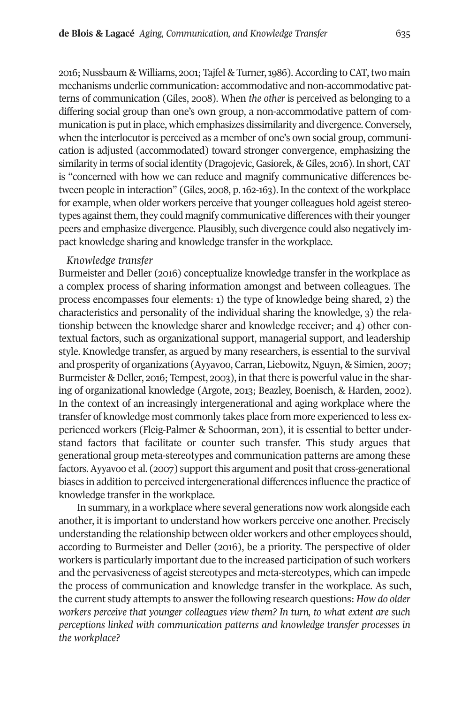2016; Nussbaum & Williams, 2001; Tajfel & Turner, 1986). According to CAT, two main mechanisms underlie communication: accommodative and non-accommodative patterns of communication (Giles, 2008). When *the other* is perceived as belonging to a differing social group than one's own group, a non-accommodative pattern of communication is put in place, which emphasizes dissimilarity and divergence. Conversely, when the interlocutor is perceived as a member of one's own social group, communication is adjusted (accommodated) toward stronger convergence, emphasizing the similarity in terms of social identity (Dragojevic, Gasiorek, & Giles, 2016). In short, CAT is "concerned with how we can reduce and magnify communicative differences between people in interaction" (Giles, 2008, p. 162-163). In the context of the workplace for example, when older workers perceive that younger colleagues hold ageist stereotypes against them, they could magnify communicative differences with their younger peers and emphasize divergence. Plausibly, such divergence could also negatively impact knowledge sharing and knowledge transfer in the workplace.

#### *Knowledge transfer*

Burmeister and Deller (2016) conceptualize knowledge transfer in the workplace as a complex process of sharing information amongst and between colleagues. The process encompasses four elements: 1) the type of knowledge being shared, 2) the characteristics and personality of the individual sharing the knowledge, 3) the relationship between the knowledge sharer and knowledge receiver; and 4) other contextual factors, such as organizational support, managerial support, and leadership style. Knowledge transfer, as argued by many researchers, is essential to the survival and prosperity of organizations (Ayyavoo, Carran, Liebowitz, Nguyn, & Simien, 2007; Burmeister & Deller, 2016; Tempest, 2003), in that there is powerful value in the sharing of organizational knowledge (Argote, 2013; Beazley, Boenisch, & Harden, 2002). In the context of an increasingly intergenerational and aging workplace where the transfer of knowledge most commonly takes place from more experienced to less experienced workers (Fleig-Palmer & Schoorman, 2011), it is essential to better understand factors that facilitate or counter such transfer. This study argues that generational group meta-stereotypes and communication patterns are among these factors. Ayyavoo et al. (2007) support this argument and posit that cross-generational biases in addition to perceived intergenerational differences influence the practice of knowledge transfer in the workplace.

In summary, in a workplace where several generations now work alongside each another, it is important to understand how workers perceive one another. Precisely understanding the relationship between older workers and other employees should, according to Burmeister and Deller (2016), be a priority. The perspective of older workers is particularly important due to the increased participation of such workers and the pervasiveness of ageist stereotypes and meta-stereotypes, which can impede the process of communication and knowledge transfer in the workplace. As such, the current study attempts to answerthe following research questions: *How do older workers perceive that younger colleagues view them? In turn, to what extent are such perceptions linked with communication patterns and knowledge transfer processes in the workplace?*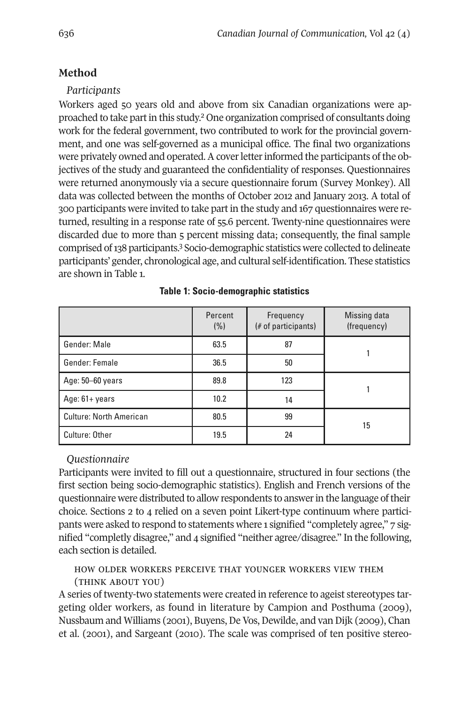# **Method**

## *Participants*

Workers aged 50 years old and [ab](#page-10-2)ove from six Canadian organizations were approached to take part in this study.<sup>2</sup> One organization comprised of consultants doing work for the federal government, two contributed to work for the provincial government, and one was self-governed as a municipal office. The final two organizations were privately owned and operated. A cover letter informed the participants of the objectives of the study and guaranteed the confidentiality of responses. Questionnaires were returned anonymously via a secure questionnaire forum (Survey Monkey). All data was collected between the months of October 2012 and January 2013. A total of 300 participants were invited to take part in the study and 167 questionnaires were returned, resulting in a response rate of 55.6 percent. Twenty-nine questionnaires were discarded due to more than 5 percent missing data; consequently, the final sample comprised of 1[3](#page-10-1)8 participants.<sup>3</sup> Socio-demographic statistics were collected to delineate participants' gender, chronological age, and cultural self-identification. These statistics are shown in Table 1.

|                          | Percent<br>(% ) | Frequency<br>$#$ of participants) | Missing data<br>(frequency) |  |
|--------------------------|-----------------|-----------------------------------|-----------------------------|--|
| Gender: Male             | 63.5            | 87                                |                             |  |
| Gender: Female           | 36.5            | 50                                |                             |  |
| Age: 50-60 years         | 89.8            | 123                               |                             |  |
| Age: $61 + \text{years}$ | 10.2            | 14                                |                             |  |
| Culture: North American  | 80.5            | 99                                | 15                          |  |
| Culture: Other           | 19.5            | 24                                |                             |  |

## **Table 1: Socio-demographic statistics**

## *Questionnaire*

Participants were invited to fill out a questionnaire, structured in four sections (the first section being socio-demographic statistics). English and French versions of the questionnaire were distributed to allow respondents to answerin the language oftheir choice. Sections 2 to 4 relied on a seven point Likert-type continuum where participants were asked to respond to statements where 1 signified "completely agree," 7 signified "completly disagree," and 4 signified "neither agree/disagree." In the following, each section is detailed.

## How older workers perceive tHAt younger workers view tHem (tHink About you)

A series of twenty-two statements were created in reference to ageist stereotypes targeting older workers, as found in literature by Campion and Posthuma (2009), Nussbaum and Williams (2001), Buyens, De Vos, Dewilde, and van Dijk (2009), Chan et al. (2001), and Sargeant (2010). The scale was comprised of ten positive stereo-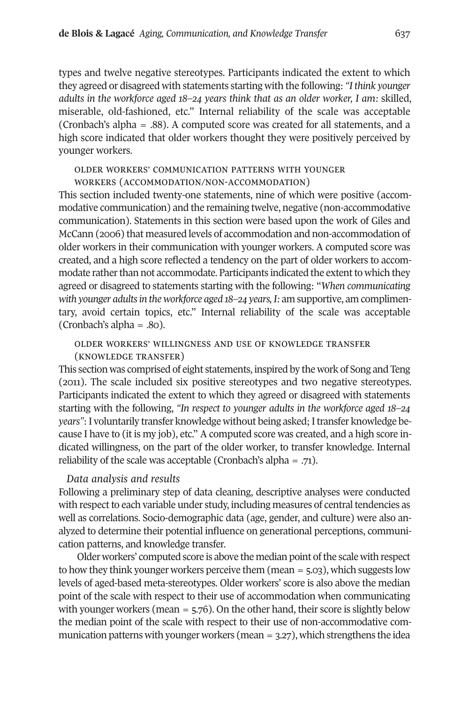types and twelve negative stereotypes. Participants indicated the extent to which they agreed or disagreed with statements starting with the following: *"I think younger adults in the workforce aged 18–24 years think that as an older worker, I am:* skilled, miserable, old-fashioned, etc." Internal reliability of the scale was acceptable (Cronbach's alpha = .88). A computed score was created for all statements, and a high score indicated that older workers thought they were positively perceived by younger workers.

#### older workers' communicAtion pAtterns witH younger

workers (AccommodAtion/non-AccommodAtion)

This section included twenty-one statements, nine of which were positive (accommodative communication) and the remaining twelve, negative (non-accommodative communication). Statements in this section were based upon the work of Giles and McCann (2006) that measured levels of accommodation and non-accommodation of older workers in their communication with younger workers. A computed score was created, and a high score reflected a tendency on the part of older workers to accommodate rather than not accommodate. Participants indicated the extent to which they agreed or disagreed to statements starting with the following: "*When communicating with younger adultsin the workforce aged 18–24 years,I:* am supportive, am complimentary, avoid certain topics, etc." Internal reliability of the scale was acceptable (Cronbach's alpha = .80).

## older workers' willingness And use of knowledge trAnsfer (knowledge trAnsfer)

This section was comprised of eight statements, inspired by the work of Song and Teng (2011). The scale included six positive stereotypes and two negative stereotypes. Participants indicated the extent to which they agreed or disagreed with statements starting with the following, *"In respect to younger adults in the workforce aged 18–24 years*": I voluntarily transfer knowledge without being asked; I transfer knowledge because I have to (it is my job), etc." A computed score was created, and a high score indicated willingness, on the part of the older worker, to transfer knowledge. Internal reliability of the scale was acceptable (Cronbach's alpha = .71).

### *Data analysis and results*

Following a preliminary step of data cleaning, descriptive analyses were conducted with respect to each variable under study, including measures of central tendencies as well as correlations. Socio-demographic data (age, gender, and culture) were also analyzed to determine their potential influence on generational perceptions, communication patterns, and knowledge transfer.

Older workers' computed score is above the median point of the scale with respect to how they think younger workers perceive them (mean = 5.03), which suggests low levels of aged-based meta-stereotypes. Older workers' score is also above the median point of the scale with respect to their use of accommodation when communicating with younger workers (mean  $= 5.76$ ). On the other hand, their score is slightly below the median point of the scale with respect to their use of non-accommodative communication patterns with younger workers (mean  $=$  3.27), which strengthens the idea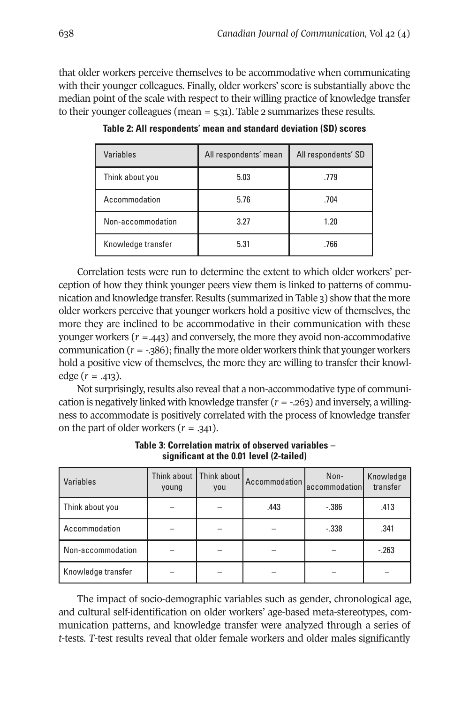that older workers perceive themselves to be accommodative when communicating with their younger colleagues. Finally, older workers' score is substantially above the median point of the scale with respect to their willing practice of knowledge transfer to their younger colleagues (mean = 5.31). Table 2 summarizes these results.

| Variables          | All respondents' mean | All respondents' SD |  |
|--------------------|-----------------------|---------------------|--|
| Think about you    | 5.03                  | .779                |  |
| Accommodation      | 5.76                  | .704                |  |
| Non-accommodation  | 3.27                  | 1.20                |  |
| Knowledge transfer | 5.31                  | .766                |  |

**Table 2: All respondents' mean and standard deviation (SD) scores**

Correlation tests were run to determine the extent to which older workers' perception of how they think younger peers view them is linked to patterns of communication and knowledge transfer. Results (summarized in Table 3) show that the more older workers perceive that younger workers hold a positive view of themselves, the more they are inclined to be accommodative in their communication with these younger workers  $(r = .443)$  and conversely, the more they avoid non-accommodative communication  $(r = -386)$ ; finally the more older workers think that younger workers hold a positive view of themselves, the more they are willing to transfer their knowledge (*r* = .413).

Not surprisingly, results also reveal that a non-accommodative type of communication is negatively linked with knowledge transfer  $(r = -0.263)$  and inversely, a willingness to accommodate is positively correlated with the process of knowledge transfer on the part of older workers (*r* = .341).

| <b>Variables</b>   | young | Think about   Think about  <br>you | Accommodation | Non-<br>accommodation | Knowledge<br>transfer |
|--------------------|-------|------------------------------------|---------------|-----------------------|-----------------------|
| Think about you    |       |                                    | .443          | $-.386$               | .413                  |
| Accommodation      |       |                                    |               | $-.338$               | .341                  |
| Non-accommodation  |       |                                    |               |                       | $-.263$               |
| Knowledge transfer |       |                                    |               |                       |                       |

**Table 3: Correlation matrix of observed variables – significant at the 0.01 level (2-tailed)**

The impact of socio-demographic variables such as gender, chronological age, and cultural self-identification on older workers' age-based meta-stereotypes, communication patterns, and knowledge transfer were analyzed through a series of *t*-tests. *T*-test results reveal that older female workers and older males significantly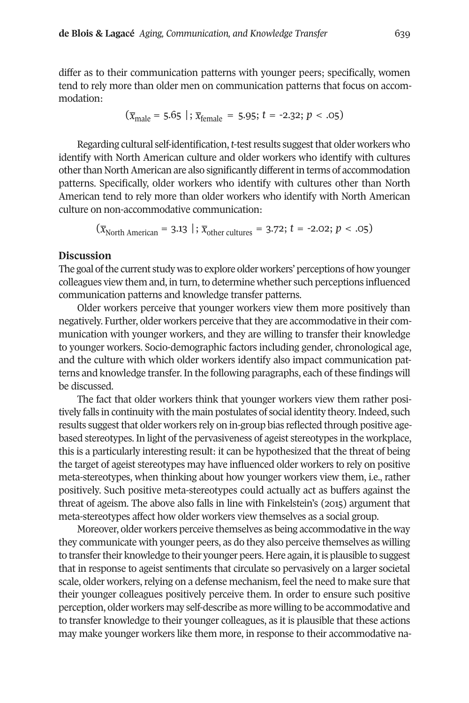differ as to their communication patterns with younger peers; specifically, women tend to rely more than older men on communication patterns that focus on accommodation:

$$
(\bar{x}_{\text{male}} = 5.65 \mid \bar{x}_{\text{female}} = 5.95; t = -2.32; p < .05)
$$

Regarding cultural self-identification, *t*-test results suggest that older workers who identify with North American culture and older workers who identify with cultures other than North American are also significantly different in terms of accommodation patterns. Specifically, older workers who identify with cultures other than North American tend to rely more than older workers who identify with North American culture on non-accommodative communication:

 $(\bar{x}_{\text{North American}} = 3.13 \mid; \bar{x}_{\text{other cultures}} = 3.72; t = -2.02; p < .05)$ 

## **Discussion**

The goal of the current study was to explore older workers' perceptions of how younger colleagues view them and, in turn, to determine whether such perceptions influenced communication patterns and knowledge transfer patterns.

Older workers perceive that younger workers view them more positively than negatively. Further, older workers perceive that they are accommodative in their communication with younger workers, and they are willing to transfer their knowledge to younger workers. Socio-demographic factors including gender, chronological age, and the culture with which older workers identify also impact communication patterns and knowledge transfer. In the following paragraphs, each of these findings will be discussed.

The fact that older workers think that younger workers view them rather positively falls in continuity with the main postulates of social identity theory. Indeed, such results suggestthat older workers rely on in-group bias reflected through positive agebased stereotypes. In light of the pervasiveness of ageist stereotypes in the workplace, this is a particularly interesting result: it can be hypothesized that the threat of being the target of ageist stereotypes may have influenced older workers to rely on positive meta-stereotypes, when thinking about how younger workers view them, i.e., rather positively. Such positive meta-stereotypes could actually act as buffers against the threat of ageism. The above also falls in line with Finkelstein's (2015) argument that meta-stereotypes affect how older workers view themselves as a social group.

Moreover, older workers perceive themselves as being accommodative in the way they communicate with younger peers, as do they also perceive themselves as willing to transfer their knowledge to their younger peers. Here again, it is plausible to suggest that in response to ageist sentiments that circulate so pervasively on a larger societal scale, older workers, relying on a defense mechanism, feel the need to make sure that their younger colleagues positively perceive them. In order to ensure such positive perception, older workers may self-describe as more willing to be accommodative and to transfer knowledge to their younger colleagues, as it is plausible that these actions may make younger workers like them more, in response to their accommodative na-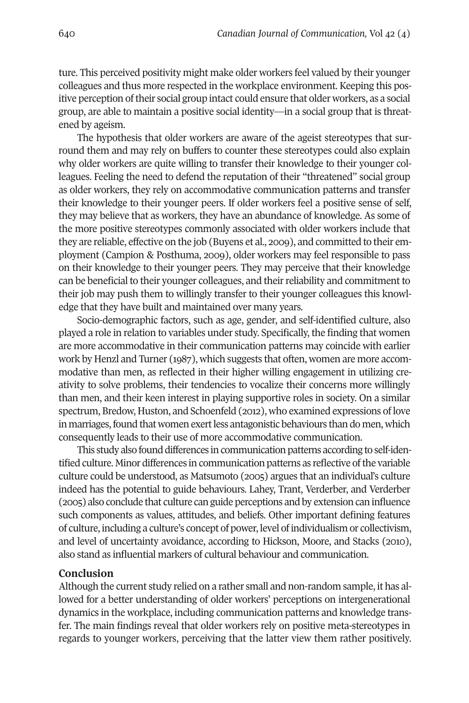ture. This perceived positivity might make older workers feel valued by their younger colleagues and thus more respected in the workplace environment. Keeping this positive perception oftheir social group intact could ensure that older workers, as a social group, are able to maintain a positive social identity—in a social group that is threatened by ageism.

The hypothesis that older workers are aware of the ageist stereotypes that surround them and may rely on buffers to counter these stereotypes could also explain why older workers are quite willing to transfer their knowledge to their younger colleagues. Feeling the need to defend the reputation of their "threatened" social group as older workers, they rely on accommodative communication patterns and transfer their knowledge to their younger peers. If older workers feel a positive sense of self, they may believe that as workers, they have an abundance of knowledge. As some of the more positive stereotypes commonly associated with older workers include that they are reliable, effective on the job (Buyens et al., 2009), and committed to their employment (Campion & Posthuma, 2009), older workers may feel responsible to pass on their knowledge to their younger peers. They may perceive that their knowledge can be beneficial to their younger colleagues, and theirreliability and commitment to their job may push them to willingly transfer to their younger colleagues this knowledge that they have built and maintained over many years.

Socio-demographic factors, such as age, gender, and self-identified culture, also played a role in relation to variables under study. Specifically, the finding that women are more accommodative in their communication patterns may coincide with earlier work by Henzl and Turner (1987), which suggests that often, women are more accommodative than men, as reflected in their higher willing engagement in utilizing creativity to solve problems, their tendencies to vocalize their concerns more willingly than men, and their keen interest in playing supportive roles in society. On a similar spectrum, Bredow, Huston, and Schoenfeld (2012), who examined expressions of love in marriages, found that women exert less antagonistic behaviours than do men, which consequently leads to their use of more accommodative communication.

This study also found differences in communication patterns according to self-identified culture. Minor differences in communication patterns as reflective of the variable culture could be understood, as Matsumoto (2005) argues that an individual's culture indeed has the potential to guide behaviours. Lahey, Trant, Verderber, and Verderber (2005) also conclude that culture can guide perceptions and by extension can influence such components as values, attitudes, and beliefs. Other important defining features of culture, including a culture's concept of power, level ofindividualism or collectivism, and level of uncertainty avoidance, according to Hickson, Moore, and Stacks (2010), also stand as influential markers of cultural behaviour and communication.

## **Conclusion**

Although the current study relied on a rather small and non-random sample, it has allowed for a better understanding of older workers' perceptions on intergenerational dynamics in the workplace, including communication patterns and knowledge transfer. The main findings reveal that older workers rely on positive meta-stereotypes in regards to younger workers, perceiving that the latter view them rather positively.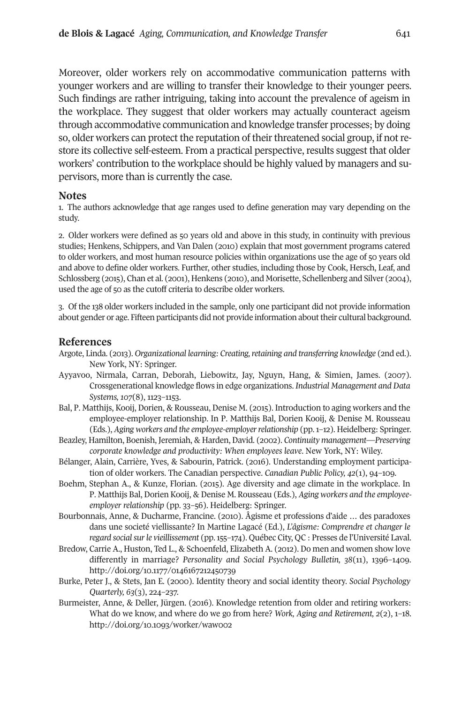Moreover, older workers rely on accommodative communication patterns with younger workers and are willing to transfer their knowledge to their younger peers. Such findings are rather intriguing, taking into account the prevalence of ageism in the workplace. They suggest that older workers may actually counteract ageism through accommodative communication and knowledge transfer processes; by doing so, older workers can protect the reputation of their threatened social group, if not restore its collective self-esteem. From a practical perspective, results suggest that older workers' contribution to the workplace should be highly valued by managers and supervisors, more than is currently the case.

#### <span id="page-10-2"></span><span id="page-10-0"></span>**Notes**

1. The authors acknowledge that age ranges used to define generation may vary depending on the study.

2. Older workers were defined as 50 years old and above in this study, in continuity with previous studies; Henkens, Schippers, and Van Dalen (2010) explain that most government programs catered to older workers, and most human resource policies within organizations use the age of 50 years old and above to define older workers. Further, other studies, including those by Cook, Hersch, Leaf, and Schlossberg (2015), Chan et al*.* (2001), Henkens (2010), and Morisette, Schellenberg and Silver (2004), used the age of 50 as the cutoff criteria to describe older workers.

<span id="page-10-1"></span>3. Of the 138 older workers included in the sample, only one participant did not provide information about gender or age. Fifteen participants did not provide information about their cultural background.

#### **References**

- Argote, Linda. (2013). *Organizational learning: Creating,retaining and transferring knowledge* (2nd ed.). New York, NY: Springer.
- Ayyavoo, Nirmala, Carran, Deborah, Liebowitz, Jay, Nguyn, Hang, & Simien, James. (2007). Crossgenerational knowledge flows in edge organizations. *Industrial Management and Data Systems, 107*(8), 1123–1153.
- Bal, P. Matthijs, Kooij, Dorien, & Rousseau, Denise M. (2015). Introduction to aging workers and the employee-employer relationship. In P. Matthijs Bal, Dorien Kooij, & Denise M. Rousseau (Eds.), *Aging workers and the employee-employerrelationship* (pp.1–12). Heidelberg: Springer.
- Beazley, Hamilton, Boenish, Jeremiah, & Harden, David. (2002). *Continuity management—Preserving corporate knowledge and productivity: When employees leave*. New York, NY: Wiley.
- Bélanger, Alain, Carrière, Yves, & Sabourin, Patrick. (2016). Understanding employment participation of older workers. The Canadian perspective. *Canadian Public Policy, 42*(1), 94–109.
- Boehm, Stephan A., & Kunze, Florian. (2015). Age diversity and age climate in the workplace. In P. Matthijs Bal, Dorien Kooij, & Denise M. Rousseau (Eds.), *Aging workers and the employeeemployer relationship* (pp. 33–56). Heidelberg: Springer.
- Bourbonnais, Anne, & Ducharme, Francine. (2010). Âgisme et professions d'aide … des paradoxes dans une societé viellissante? In Martine Lagacé (Ed.), *L'âgisme: Comprendre et changer le regard socialsurle vieillissement* (pp.155–174). Québec City, QC : Presses de l'Université Laval.
- Bredow, Carrie A., Huston, Ted L., & Schoenfeld, Elizabeth A. (2012). Do men and women show love differently in marriage? *Personality and Social Psychology Bulletin, 38*(11), 1396–1409. http://doi.org[/10.1177/0146167212450739](http://doi.org/10.1177/0146167212450739)
- Burke, Peter J., & Stets, Jan E. (2000). Identity theory and social identity theory. *Social Psychology Quarterly, 63*(3), 224–237.
- Burmeister, Anne, & Deller, Jürgen. (2016). Knowledge retention from older and retiring workers: What do we know, and where do we go from here? *Work, Aging and Retirement, 2*(2), 1–18. http://doi.org[/10.1093/worker/waw002](http://doi.org/10.1093/worker/waw002)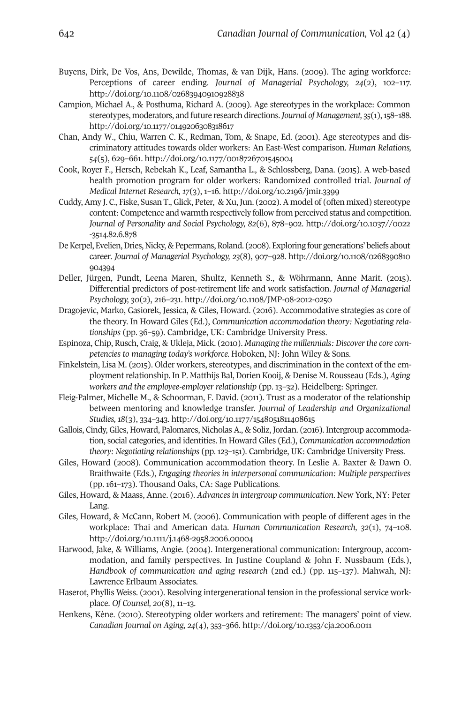- Buyens, Dirk, De Vos, Ans, Dewilde, Thomas, & van Dijk, Hans. (2009). The aging workforce: Perceptions of career ending. *Journal of Managerial Psychology, 24*(2), 102–117. http://doi.org[/10.1108/02683940910928838](http://doi.org/10.1108/02683940910928838)
- Campion, Michael A., & Posthuma, Richard A. (2009). Age stereotypes in the workplace: Common stereotypes, moderators, and future research directions.*Journal of Management, 35*(1),158–188. http://doi.org[/10.1177/0149206308318617](http://doi.org/10.1177/0149206308318617)
- Chan, Andy W., Chiu, Warren C. K., Redman, Tom, & Snape, Ed. (2001). Age stereotypes and discriminatory attitudes towards older workers: An East-West comparison. *Human Relations, 54*(5), 629–661. http://doi.org[/10.1177/0018726701545004](http://doi.org/10.1177/0018726701545004)
- Cook, Royer F., Hersch, Rebekah K., Leaf, Samantha L., & Schlossberg, Dana. (2015). A web-based health promotion program for older workers: Randomized controlled trial. *Journal of Medical Internet Research, 17*(3), 1–16. http://doi.org[/10.2196/jmir.3399](http://doi.org/10.2196/jmir.3399)
- Cuddy,Amy J. C., Fiske, Susan T., Glick, Peter, & Xu, Jun. (2002).A model of (often mixed) stereotype content: Competence and warmth respectively follow from perceived status and competition. *Journal of Personality and Social Psychology, 82*(6), 878–902. http://doi.org[/10.1037//0022](http://doi.org/10.1037//0022-3514.82.6.878) [-3514.82.6.878](http://doi.org/10.1037//0022-3514.82.6.878)
- De Kerpel, Evelien, Dries, Nicky, & Pepermans, Roland. (2008). Exploring four generations' beliefs about career. *Journal of Managerial Psychology, 23*(8), 907–928. http://doi.org[/10.1108/0268390810](http://doi.org/10.1108/0268390810904394) [904394](http://doi.org/10.1108/0268390810904394)
- Deller, Jürgen, Pundt, Leena Maren, Shultz, Kenneth S., & Wöhrmann, Anne Marit. (2015). Differential predictors of post-retirement life and work satisfaction. *Journal of Managerial Psychology, 30*(2), 216–231. http://doi.org[/10.1108/JMP-08-2012-0250](http://10.1108/JMP-08-2012-0250)
- Dragojevic, Marko, Gasiorek, Jessica, & Giles, Howard. (2016). Accommodative strategies as core of the theory. In Howard Giles (Ed.), *Communication accommodation theory: Negotiating relationships* (pp. 36–59). Cambridge, UK: Cambridge University Press.
- Espinoza, Chip, Rusch, Craig, & Ukleja, Mick. (2010). *Managing the millennials: Discoverthe core competencies to managing today's workforce.* Hoboken, NJ: John Wiley & Sons.
- Finkelstein, Lisa M. (2015). Older workers, stereotypes, and discrimination in the context of the employmentrelationship. In P. Matthijs Bal, Dorien Kooij, & Denise M. Rousseau (Eds.), *Aging workers and the employee-employer relationship* (pp. 13–32). Heidelberg: Springer.
- Fleig-Palmer, Michelle M., & Schoorman, F. David. (2011). Trust as a moderator of the relationship between mentoring and knowledge transfer. *Journal of Leadership and Organizational Studies, 18*(3), 334–343. http://doi.org[/10.1177/1548051811408615](http://doi.org/10.1177/154805181140861510.1177/1548051811408615)
- Gallois, Cindy, Giles, Howard, Palomares, Nicholas A., & Soliz, Jordan. (2016). Intergroup accommodation, social categories, and identities. In Howard Giles (Ed.), *Communication accommodation theory: Negotiating relationships* (pp. 123–151). Cambridge, UK: Cambridge University Press.
- Giles, Howard (2008). Communication accommodation theory. In Leslie A. Baxter & Dawn O. Braithwaite (Eds.), *Engaging theories in interpersonal communication: Multiple perspectives* (pp. 161–173). Thousand Oaks, CA: Sage Publications.
- Giles, Howard, & Maass, Anne. (2016). *Advancesin intergroup communication*. New York, NY: Peter Lang.
- Giles, Howard, & McCann, Robert M. (2006). Communication with people of different ages in the workplace: Thai and American data. *Human Communication Research, 32*(1), 74–108. http://doi.org[/10.1111/j.1468-2958.2006.00004](http://doi.org/10.1111/j.1468-2958.2006.00004)
- Harwood, Jake, & Williams, Angie. (2004). Intergenerational communication: Intergroup, accommodation, and family perspectives. In Justine Coupland & John F. Nussbaum (Eds.), *Handbook of communication and aging research* (2nd ed.) (pp. 115–137). Mahwah, NJ: Lawrence Erlbaum Associates.
- Haserot, Phyllis Weiss. (2001). Resolving intergenerational tension in the professional service workplace. *Of Counsel, 20*(8), 11–13.
- Henkens, Kène. (2010). Stereotyping older workers and retirement: The managers' point of view. *Canadian Journal on Aging, 24*(4), 353–366. http://doi.org[/10.1353/cja.2006.0011](http://doi.org/10.1353/cja.2006.0011)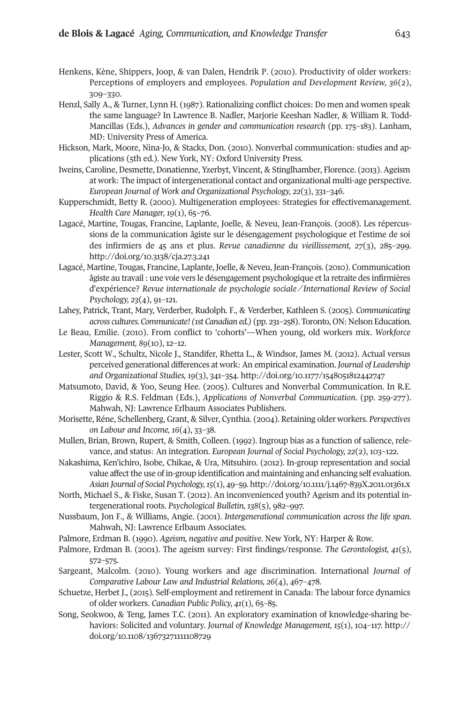- Henkens, Kène, Shippers, Joop, & van Dalen, Hendrik P. (2010). Productivity of older workers: Perceptions of employers and employees. *Population and Development Review, 36*(2), 309–330.
- Henzl, Sally A., & Turner, Lynn H. (1987). Rationalizing conflict choices: Do men and women speak the same language? In Lawrence B. Nadler, Marjorie Keeshan Nadler, & William R. Todd-Mancillas (Eds.), *Advances in gender and communication research* (pp. 175–183). Lanham, MD: University Press of America.
- Hickson, Mark, Moore, Nina-Jo, & Stacks, Don. (2010). Nonverbal communication: studies and applications (5th ed.). New York, NY: Oxford University Press.
- Iweins, Caroline, Desmette, Donatienne, Yzerbyt, Vincent, & Stinglhamber, Florence. (2013). Ageism at work: The impact of intergenerational contact and organizational multi-age perspective. *European Journal of Work and Organizational Psychology, 22*(3), 331–346.
- Kupperschmidt, Betty R. (2000). Multigeneration employees: Strategies for effectivemanagement. *Health Care Manager, 19*(1), 65–76.
- Lagacé, Martine, Tougas, Francine, Laplante, Joelle, & Neveu, Jean-François. (2008). Les répercussions de la communication âgiste sur le désengagement psychologique et l'estime de soi des infirmiers de 45 ans et plus. *Revue canadienne du vieillissement, 27*(3), 285–299. <http://doi.org/10.3138/cja.27.3.241>
- Lagacé, Martine, Tougas, Francine, Laplante, Joelle, & Neveu, Jean-François. (2010). Communication âgiste au travail : une voie vers le désengagement psychologique et la retraite des infirmières d'expérience? *Revue internationale de psychologie sociale ⁄ International Review of Social Psychology, 23*(4), 91–121.
- Lahey, Patrick, Trant, Mary, Verderber, Rudolph. F., & Verderber, Kathleen S. (2005). *Communicating across cultures. Communicate! (1st Canadian ed.)* (pp. 231–258). Toronto, ON: Nelson Education.
- Le Beau, Emilie. (2010). From conflict to 'cohorts'—When young, old workers mix. *Workforce Management, 89*(10), 12–12.
- Lester, Scott W., Schultz, Nicole J., Standifer, Rhetta L., & Windsor, James M. (2012). Actual versus perceived generational differences at work: An empirical examination. *Journal of Leadership and Organizational Studies, 19*(3), 341–354. http://doi.org[/10.1177/1548051812442747](http://doi.org/10.1177/1548051812442747)
- Matsumoto, David, & Yoo, Seung Hee. (2005). Cultures and Nonverbal Communication. In R.E. Riggio & R.S. Feldman (Eds.), *Applications of Nonverbal Communication*. (pp. 259-277). Mahwah, NJ: Lawrence Erlbaum Associates Publishers.
- Morisette, Réne, Schellenberg, Grant, & Silver, Cynthia. (2004). Retaining older workers. *Perspectives on Labour and Income, 16*(4), 33–38.
- Mullen, Brian, Brown, Rupert, & Smith, Colleen. (1992). Ingroup bias as a function of salience, relevance, and status: An integration. *European Journal of Social Psychology, 22*(2), 103–122.
- Nakashima, Ken'ichiro, Isobe, Chikae**,** & Ura, Mitsuhiro. (2012). In-group representation and social value affect the use of in-group identification and maintaining and enhancing self evaluation. *Asian Journal of Social Psychology,15*(1), 49–59. http://doi.org[/10.1111/j.1467-839X.2011.01361.x](http://doi.org/10.1111/j.1467-839X.2011.01361.x)
- North, Michael S., & Fiske, Susan T. (2012). An inconvenienced youth? Ageism and its potential intergenerational roots. *Psychological Bulletin, 138*(5), 982–997.
- Nussbaum, Jon F., & Williams, Angie. (2001). *Intergenerational communication across the life span*. Mahwah, NJ: Lawrence Erlbaum Associates.
- Palmore, Erdman B. (1990). *Ageism, negative and positive*. New York, NY: Harper & Row.
- Palmore, Erdman B. (2001). The ageism survey: First findings/response. *The Gerontologist, 41*(5), 572–575.
- Sargeant, Malcolm. (2010). Young workers and age discrimination. International *Journal of Comparative Labour Law and Industrial Relations, 26*(4), 467–478.
- Schuetze, Herbet J., (2015). Self-employment and retirement in Canada: The labour force dynamics of older workers. *Canadian Public Policy, 41*(1), 65–85.
- Song, Seokwoo, & Teng, James T.C. (2011). An exploratory examination of knowledge-sharing behaviors: Solicited and voluntary. *Journal of Knowledge Management, 15*(1), 104–117. [http://](http://doi.org/10.1108/13673271111108729) [doi.org/10.1108/13673271111108729](http://doi.org/10.1108/13673271111108729)